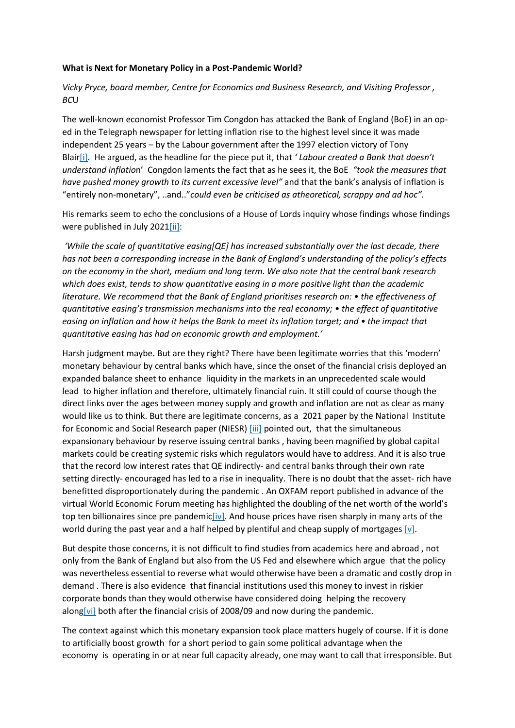## **What is Next for Monetary Policy in a Post-Pandemic World?**

## *Vicky Pryce, board member, Centre for Economics and Business Research, and Visiting Professor , BC*U

The well-known economist Professor Tim Congdon has attacked the Bank of England (BoE) in an oped in the Telegraph newspaper for letting inflation rise to the highest level since it was made independent 25 years – by the Labour government after the 1997 election victory of Tony Blai[r\[i\].](https://centreforbrexitstudiesblog.wordpress.com/2022/01/19/what-is-next-for-monetary-policy-in-a-post-pandemic-world/#_edn1) He argued, as the headline for the piece put it, that *' Labour created a Bank that doesn't understand inflatio*n' Congdon laments the fact that as he sees it, the BoE *"took the measures that have pushed money growth to its current excessive level"* and that the bank's analysis of inflation is "entirely non-monetary", ..and.."*could even be criticised as atheoretical, scrappy and ad hoc".*

His remarks seem to echo the conclusions of a House of Lords inquiry whose findings whose findings were published in July 202[1\[ii\]:](https://centreforbrexitstudiesblog.wordpress.com/2022/01/19/what-is-next-for-monetary-policy-in-a-post-pandemic-world/#_edn2)

*'While the scale of quantitative easing[QE] has increased substantially over the last decade, there has not been a corresponding increase in the Bank of England's understanding of the policy's effects on the economy in the short, medium and long term. We also note that the central bank research which does exist, tends to show quantitative easing in a more positive light than the academic literature. We recommend that the Bank of England prioritises research on: • the effectiveness of quantitative easing's transmission mechanisms into the real economy; • the effect of quantitative easing on inflation and how it helps the Bank to meet its inflation target; and • the impact that quantitative easing has had on economic growth and employment.'*

Harsh judgment maybe. But are they right? There have been legitimate worries that this 'modern' monetary behaviour by central banks which have, since the onset of the financial crisis deployed an expanded balance sheet to enhance liquidity in the markets in an unprecedented scale would lead to higher inflation and therefore, ultimately financial ruin. It still could of course though the direct links over the ages between money supply and growth and inflation are not as clear as many would like us to think. But there are legitimate concerns, as a 2021 paper by the National Institute for Economic and Social Research paper (NIESR) [\[iii\]](https://centreforbrexitstudiesblog.wordpress.com/2022/01/19/what-is-next-for-monetary-policy-in-a-post-pandemic-world/#_edn3) pointed out, that the simultaneous expansionary behaviour by reserve issuing central banks , having been magnified by global capital markets could be creating systemic risks which regulators would have to address. And it is also true that the record low interest rates that QE indirectly- and central banks through their own rate setting directly- encouraged has led to a rise in inequality. There is no doubt that the asset- rich have benefitted disproportionately during the pandemic . An OXFAM report published in advance of the virtual World Economic Forum meeting has highlighted the doubling of the net worth of the world's top ten billionaires since pre pandemi[c\[iv\].](https://centreforbrexitstudiesblog.wordpress.com/2022/01/19/what-is-next-for-monetary-policy-in-a-post-pandemic-world/#_edn4) And house prices have risen sharply in many arts of the world during the past year and a half helped by plentiful and cheap supply of mortgages  $[v]$ .

But despite those concerns, it is not difficult to find studies from academics here and abroad , not only from the Bank of England but also from the US Fed and elsewhere which argue that the policy was nevertheless essential to reverse what would otherwise have been a dramatic and costly drop in demand . There is also evidence that financial institutions used this money to invest in riskier corporate bonds than they would otherwise have considered doing helping the recovery alon[g\[vi\]](https://centreforbrexitstudiesblog.wordpress.com/2022/01/19/what-is-next-for-monetary-policy-in-a-post-pandemic-world/#_edn6) both after the financial crisis of 2008/09 and now during the pandemic.

The context against which this monetary expansion took place matters hugely of course. If it is done to artificially boost growth for a short period to gain some political advantage when the economy is operating in or at near full capacity already, one may want to call that irresponsible. But